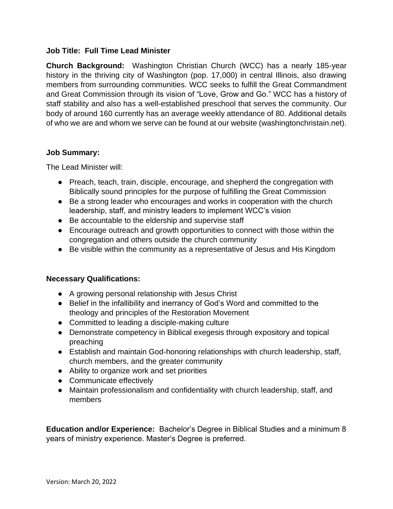# **Job Title: Full Time Lead Minister**

**Church Background:** Washington Christian Church (WCC) has a nearly 185-year history in the thriving city of Washington (pop. 17,000) in central Illinois, also drawing members from surrounding communities. WCC seeks to fulfill the Great Commandment and Great Commission through its vision of "Love, Grow and Go." WCC has a history of staff stability and also has a well-established preschool that serves the community. Our body of around 160 currently has an average weekly attendance of 80. Additional details of who we are and whom we serve can be found at our website (washingtonchristain.net).

#### **Job Summary:**

The Lead Minister will:

- Preach, teach, train, disciple, encourage, and shepherd the congregation with Biblically sound principles for the purpose of fulfilling the Great Commission
- Be a strong leader who encourages and works in cooperation with the church leadership, staff, and ministry leaders to implement WCC's vision
- Be accountable to the eldership and supervise staff
- Encourage outreach and growth opportunities to connect with those within the congregation and others outside the church community
- Be visible within the community as a representative of Jesus and His Kingdom

# **Necessary Qualifications:**

- A growing personal relationship with Jesus Christ
- Belief in the infallibility and inerrancy of God's Word and committed to the theology and principles of the Restoration Movement
- Committed to leading a disciple-making culture
- Demonstrate competency in Biblical exegesis through expository and topical preaching
- Establish and maintain God-honoring relationships with church leadership, staff, church members, and the greater community
- Ability to organize work and set priorities
- Communicate effectively
- Maintain professionalism and confidentiality with church leadership, staff, and members

**Education and/or Experience:** Bachelor's Degree in Biblical Studies and a minimum 8 years of ministry experience. Master's Degree is preferred.